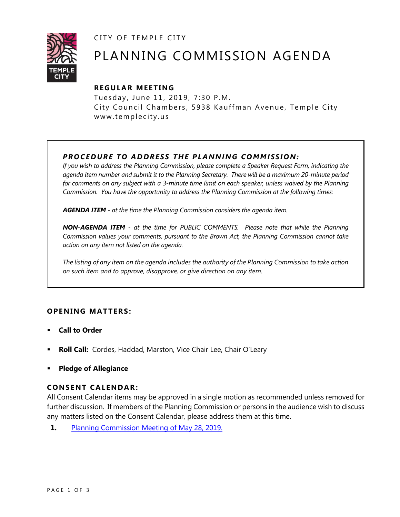CITY OF TEMPLE CITY



# PLANNING COMMISSION AGENDA

# **R EGULA R MEE TING**

Tuesday, June 11, 2019, 7:30 P.M. City Council Chambers, 5938 Kauffman Avenue, Temple City www.templecity.us

# *PRO CE DURE TO ADDRE SS THE P LA NNI NG COMM I SSION:*

*If you wish to address the Planning Commission, please complete a Speaker Request Form, indicating the agenda item number and submit it to the Planning Secretary. There will be a maximum 20-minute period*  for comments on any subject with a 3-minute time limit on each speaker, unless waived by the Planning *Commission. You have the opportunity to address the Planning Commission at the following times:*

*AGENDA ITEM - at the time the Planning Commission considers the agenda item.*

*NON-AGENDA ITEM - at the time for PUBLIC COMMENTS. Please note that while the Planning Commission values your comments, pursuant to the Brown Act, the Planning Commission cannot take action on any item not listed on the agenda.*

*The listing of any item on the agenda includes the authority of the Planning Commission to take action on such item and to approve, disapprove, or give direction on any item.*

# **OPENING MATTERS:**

- **Call to Order**
- **Roll Call:** Cordes, Haddad, Marston, Vice Chair Lee, Chair O'Leary
- **Pledge of Allegiance**

# **CONSENT CA LENDAR:**

All Consent Calendar items may be approved in a single motion as recommended unless removed for further discussion. If members of the Planning Commission or persons in the audience wish to discuss any matters listed on the Consent Calendar, please address them at this time.

**1.** [Planning Commission Meeting of May 28, 2019.](https://www.ci.temple-city.ca.us/DocumentCenter/View/12573/PCM-05-28-2019)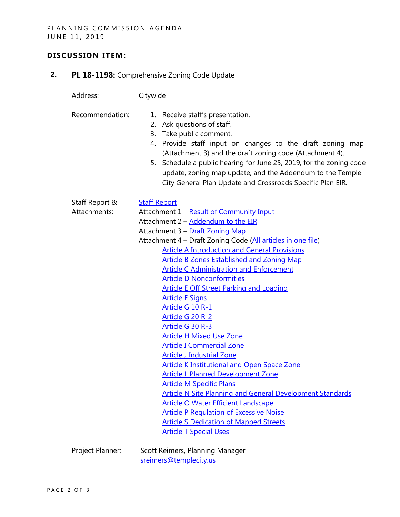## **D ISCUSSION ITEM:**

**2. PL 18-1198:** Comprehensive Zoning Code Update

Address: Citywide

- Recommendation: 1. Receive staff's presentation.
	- 2. Ask questions of staff.
	- 3. Take public comment.
	- 4. Provide staff input on changes to the draft zoning map (Attachment 3) and the draft zoning code (Attachment 4).
	- 5. Schedule a public hearing for June 25, 2019, for the zoning code update, zoning map update, and the Addendum to the Temple City General Plan Update and Crossroads Specific Plan EIR.

| Staff Report &  | <b>Staff Report</b>                                              |
|-----------------|------------------------------------------------------------------|
| Attachments:    | Attachment 1 - Result of Community Input                         |
|                 | Attachment 2 - Addendum to the EIR                               |
|                 | Attachment 3 - Draft Zoning Map                                  |
|                 | Attachment 4 - Draft Zoning Code (All articles in one file)      |
|                 | <b>Article A Introduction and General Provisions</b>             |
|                 | <b>Article B Zones Established and Zoning Map</b>                |
|                 | <b>Article C Administration and Enforcement</b>                  |
|                 | <b>Article D Nonconformities</b>                                 |
|                 | <b>Article E Off Street Parking and Loading</b>                  |
|                 | <b>Article F Signs</b>                                           |
|                 | Article G 10 R-1                                                 |
|                 | Article G 20 R-2                                                 |
|                 | Article G 30 R-3                                                 |
|                 | <b>Article H Mixed Use Zone</b>                                  |
|                 | <b>Article I Commercial Zone</b>                                 |
|                 | <b>Article J Industrial Zone</b>                                 |
|                 | <b>Article K Institutional and Open Space Zone</b>               |
|                 | <b>Article L Planned Development Zone</b>                        |
|                 | <b>Article M Specific Plans</b>                                  |
|                 | <b>Article N Site Planning and General Development Standards</b> |
|                 |                                                                  |
|                 | <b>Article O Water Efficient Landscape</b>                       |
|                 | <b>Article P Regulation of Excessive Noise</b>                   |
|                 | <b>Article S Dedication of Mapped Streets</b>                    |
|                 | <b>Article T Special Uses</b>                                    |
| Drojact Dianner | Scott Reimers Dianning Manager                                   |

Project Planner: Scott Reimers, Planning Manager [sreimers@templecity.us](mailto:sreimers@templecity.us)